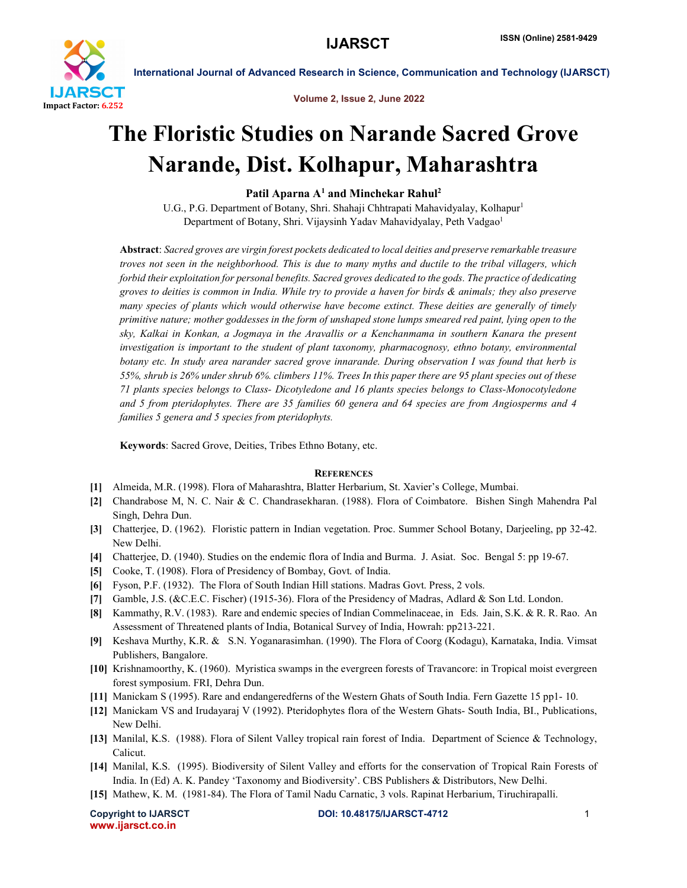

International Journal of Advanced Research in Science, Communication and Technology (IJARSCT)

Volume 2, Issue 2, June 2022

## The Floristic Studies on Narande Sacred Grove Narande, Dist. Kolhapur, Maharashtra

Patil Aparna  $A<sup>1</sup>$  and Minchekar Rahul<sup>2</sup>

U.G., P.G. Department of Botany, Shri. Shahaji Chhtrapati Mahavidyalay, Kolhapur<sup>1</sup> Department of Botany, Shri. Vijaysinh Yadav Mahavidyalay, Peth Vadgao<sup>1</sup>

Abstract: *Sacred groves are virgin forest pockets dedicated to local deities and preserve remarkable treasure troves not seen in the neighborhood. This is due to many myths and ductile to the tribal villagers, which*  forbid their exploitation for personal benefits. Sacred groves dedicated to the gods. The practice of dedicating *groves to deities is common in India. While try to provide a haven for birds & animals; they also preserve many species of plants which would otherwise have become extinct. These deities are generally of timely primitive nature; mother goddesses in the form of unshaped stone lumps smeared red paint, lying open to the sky, Kalkai in Konkan, a Jogmaya in the Aravallis or a Kenchanmama in southern Kanara the present investigation is important to the student of plant taxonomy, pharmacognosy, ethno botany, environmental botany etc. In study area narander sacred grove innarande. During observation I was found that herb is 55%, shrub is 26% under shrub 6%. climbers 11%. Trees In this paper there are 95 plant species out of these 71 plants species belongs to Class- Dicotyledone and 16 plants species belongs to Class-Monocotyledone and 5 from pteridophytes. There are 35 families 60 genera and 64 species are from Angiosperms and 4 families 5 genera and 5 species from pteridophyts.*

Keywords: Sacred Grove, Deities, Tribes Ethno Botany, etc.

## **REFERENCES**

- [1] Almeida, M.R. (1998). Flora of Maharashtra, Blatter Herbarium, St. Xavier's College, Mumbai.
- [2] Chandrabose M, N. C. Nair & C. Chandrasekharan. (1988). Flora of Coimbatore. Bishen Singh Mahendra Pal Singh, Dehra Dun.
- [3] Chatterjee, D. (1962). Floristic pattern in Indian vegetation. Proc. Summer School Botany, Darjeeling, pp 32-42. New Delhi.
- [4] Chatterjee, D. (1940). Studies on the endemic flora of India and Burma. J. Asiat. Soc. Bengal 5: pp 19-67.
- [5] Cooke, T. (1908). Flora of Presidency of Bombay, Govt. of India.
- [6] Fyson, P.F. (1932). The Flora of South Indian Hill stations. Madras Govt. Press, 2 vols.
- [7] Gamble, J.S. (&C.E.C. Fischer) (1915-36). Flora of the Presidency of Madras, Adlard & Son Ltd. London.
- [8] Kammathy, R.V. (1983). Rare and endemic species of Indian Commelinaceae, in Eds. Jain, S.K. & R. R. Rao. An Assessment of Threatened plants of India, Botanical Survey of India, Howrah: pp213-221.
- [9] Keshava Murthy, K.R. & S.N. Yoganarasimhan. (1990). The Flora of Coorg (Kodagu), Karnataka, India. Vimsat Publishers, Bangalore.
- [10] Krishnamoorthy, K. (1960). Myristica swamps in the evergreen forests of Travancore: in Tropical moist evergreen forest symposium. FRI, Dehra Dun.
- [11] Manickam S (1995). Rare and endangeredferns of the Western Ghats of South India. Fern Gazette 15 pp1- 10.
- [12] Manickam VS and Irudayaraj V (1992). Pteridophytes flora of the Western Ghats- South India, BI., Publications, New Delhi.
- [13] Manilal, K.S. (1988). Flora of Silent Valley tropical rain forest of India. Department of Science & Technology, Calicut.
- [14] Manilal, K.S. (1995). Biodiversity of Silent Valley and efforts for the conservation of Tropical Rain Forests of India. In (Ed) A. K. Pandey 'Taxonomy and Biodiversity'. CBS Publishers & Distributors, New Delhi.
- [15] Mathew, K. M. (1981-84). The Flora of Tamil Nadu Carnatic, 3 vols. Rapinat Herbarium, Tiruchirapalli.

www.ijarsct.co.in